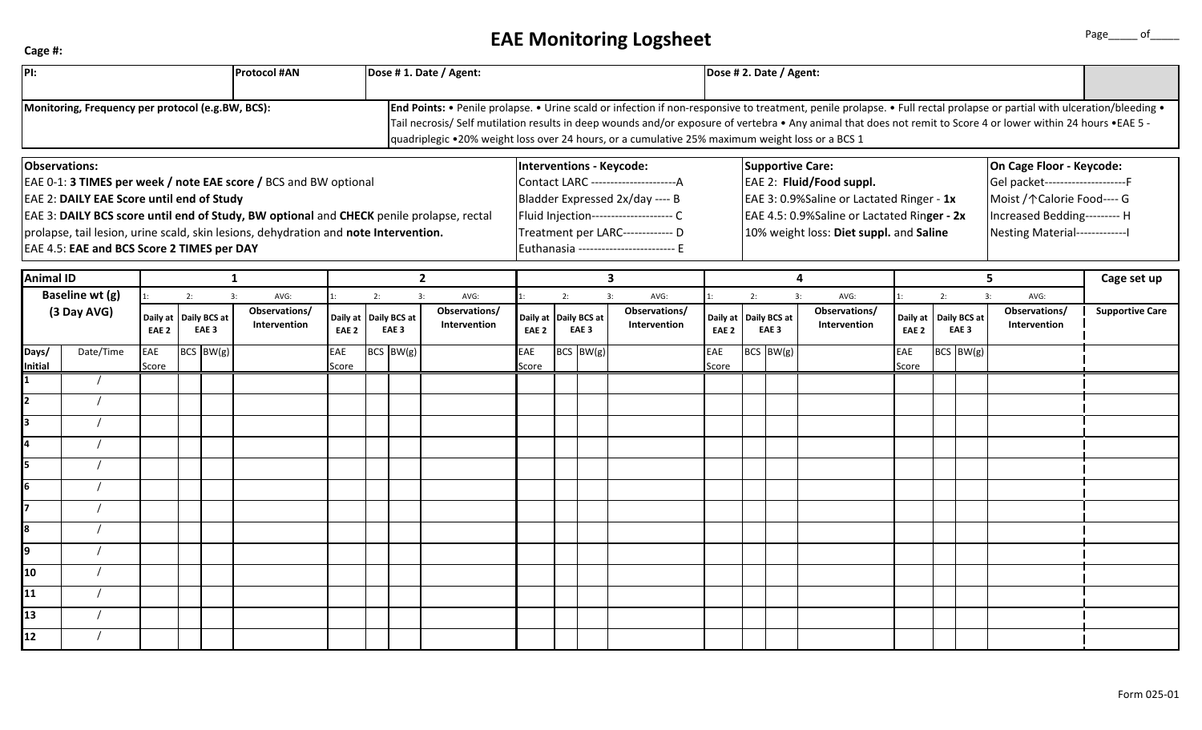## **Cage #:**

## **EAE Monitoring Logsheet Page** Page of

| PI:                                                                                                                                                                                                                                                                                                                                                                     |           |                                    |  |                                  | <b>Protocol #AN</b>                         |                              |    | Dose #1. Date / Agent:           |                                             |                                                                                                                                                                                      |                                                                                                                                                                                                                                                                                                                                                                                                                                                |                                       |                              | Dose # 2. Date / Agent:                      |                                                                                                                                                                                            |                                       |                              |                                        |  |                                             |                                                                                                                                                                 |             |  |  |
|-------------------------------------------------------------------------------------------------------------------------------------------------------------------------------------------------------------------------------------------------------------------------------------------------------------------------------------------------------------------------|-----------|------------------------------------|--|----------------------------------|---------------------------------------------|------------------------------|----|----------------------------------|---------------------------------------------|--------------------------------------------------------------------------------------------------------------------------------------------------------------------------------------|------------------------------------------------------------------------------------------------------------------------------------------------------------------------------------------------------------------------------------------------------------------------------------------------------------------------------------------------------------------------------------------------------------------------------------------------|---------------------------------------|------------------------------|----------------------------------------------|--------------------------------------------------------------------------------------------------------------------------------------------------------------------------------------------|---------------------------------------|------------------------------|----------------------------------------|--|---------------------------------------------|-----------------------------------------------------------------------------------------------------------------------------------------------------------------|-------------|--|--|
| Monitoring, Frequency per protocol (e.g.BW, BCS):                                                                                                                                                                                                                                                                                                                       |           |                                    |  |                                  |                                             |                              |    |                                  |                                             |                                                                                                                                                                                      | End Points: • Penile prolapse. • Urine scald or infection if non-responsive to treatment, penile prolapse. • Full rectal prolapse or partial with ulceration/bleeding •<br>Tail necrosis/ Self mutilation results in deep wounds and/or exposure of vertebra • Any animal that does not remit to Score 4 or lower within 24 hours • EAE 5 -<br>quadriplegic •20% weight loss over 24 hours, or a cumulative 25% maximum weight loss or a BCS 1 |                                       |                              |                                              |                                                                                                                                                                                            |                                       |                              |                                        |  |                                             |                                                                                                                                                                 |             |  |  |
| Observations:<br>EAE 0-1: 3 TIMES per week / note EAE score / BCS and BW optional<br><b>EAE 2: DAILY EAE Score until end of Study</b><br>EAE 3: DAILY BCS score until end of Study, BW optional and CHECK penile prolapse, rectal<br>prolapse, tail lesion, urine scald, skin lesions, dehydration and note Intervention.<br>EAE 4.5: EAE and BCS Score 2 TIMES per DAY |           |                                    |  |                                  |                                             |                              |    |                                  |                                             | Interventions - Keycode:<br>Bladder Expressed 2x/day ---- B<br>Fluid Injection--------------------- C<br>Treatment per LARC------------- D<br>Euthanasia ------------------------- E |                                                                                                                                                                                                                                                                                                                                                                                                                                                |                                       |                              |                                              | <b>Supportive Care:</b><br>EAE 2: Fluid/Food suppl.<br>EAE 3: 0.9%Saline or Lactated Ringer - 1x<br>EAE 4.5: 0.9%Saline or Lactated Ringer - 2x<br>10% weight loss: Diet suppl. and Saline |                                       |                              |                                        |  |                                             | On Cage Floor - Keycode:<br>Gel packet----------------------F<br>Moist / ↑ Calorie Food---- G<br>Increased Bedding--------- H<br>Nesting Material-------------- |             |  |  |
| <b>Animal ID</b>                                                                                                                                                                                                                                                                                                                                                        |           |                                    |  |                                  | 1                                           |                              |    | $\mathbf{2}$                     |                                             | $\mathbf{3}$                                                                                                                                                                         |                                                                                                                                                                                                                                                                                                                                                                                                                                                |                                       |                              | $\overline{\mathbf{4}}$                      |                                                                                                                                                                                            |                                       |                              |                                        |  |                                             | 5                                                                                                                                                               | Cage set up |  |  |
| Baseline wt (g)<br>(3 Day AVG)                                                                                                                                                                                                                                                                                                                                          |           | 2:<br>Daily at<br>EAE <sub>2</sub> |  | Daily BCS at<br>EAE <sub>3</sub> | 3:<br>AVG:<br>Observations/<br>Intervention | Daily at<br>EAE <sub>2</sub> | 2: | Daily BCS at<br>EAE <sub>3</sub> | 3:<br>AVG:<br>Observations/<br>Intervention | 3:<br>2:<br>Daily BCS at<br>Daily at<br>EAE <sub>3</sub><br>EAE <sub>2</sub>                                                                                                         |                                                                                                                                                                                                                                                                                                                                                                                                                                                | AVG:<br>Observations/<br>Intervention | Daily at<br>EAE <sub>2</sub> | 2:<br>3:<br>Daily BCS at<br>EAE <sub>3</sub> |                                                                                                                                                                                            | AVG:<br>Observations/<br>Intervention | Daily at<br>EAE <sub>2</sub> | 2:<br>Daily BCS at<br>EAE <sub>3</sub> |  | 3:<br>AVG:<br>Observations/<br>Intervention | <b>Supportive Care</b>                                                                                                                                          |             |  |  |
| Days/<br>Initial                                                                                                                                                                                                                                                                                                                                                        | Date/Time | EAE<br>Score                       |  | $BCS$ BW(g)                      |                                             | <b>EAE</b><br>Score          |    | $BCS$ BW(g)                      |                                             | <b>EAE</b><br>Score                                                                                                                                                                  |                                                                                                                                                                                                                                                                                                                                                                                                                                                | $BCS$ BW(g)                           |                              | EAE<br>Score                                 | $BCS$ BW(g)                                                                                                                                                                                |                                       |                              | EAE<br>Score                           |  | $BCS$ BW(g)                                 |                                                                                                                                                                 |             |  |  |
|                                                                                                                                                                                                                                                                                                                                                                         |           |                                    |  |                                  |                                             |                              |    |                                  |                                             |                                                                                                                                                                                      |                                                                                                                                                                                                                                                                                                                                                                                                                                                |                                       |                              |                                              |                                                                                                                                                                                            |                                       |                              |                                        |  |                                             |                                                                                                                                                                 |             |  |  |
| <b>2</b>                                                                                                                                                                                                                                                                                                                                                                |           |                                    |  |                                  |                                             |                              |    |                                  |                                             |                                                                                                                                                                                      |                                                                                                                                                                                                                                                                                                                                                                                                                                                |                                       |                              |                                              |                                                                                                                                                                                            |                                       |                              |                                        |  |                                             |                                                                                                                                                                 |             |  |  |
| 3                                                                                                                                                                                                                                                                                                                                                                       |           |                                    |  |                                  |                                             |                              |    |                                  |                                             |                                                                                                                                                                                      |                                                                                                                                                                                                                                                                                                                                                                                                                                                |                                       |                              |                                              |                                                                                                                                                                                            |                                       |                              |                                        |  |                                             |                                                                                                                                                                 |             |  |  |
| 4                                                                                                                                                                                                                                                                                                                                                                       |           |                                    |  |                                  |                                             |                              |    |                                  |                                             |                                                                                                                                                                                      |                                                                                                                                                                                                                                                                                                                                                                                                                                                |                                       |                              |                                              |                                                                                                                                                                                            |                                       |                              |                                        |  |                                             |                                                                                                                                                                 |             |  |  |
| l5                                                                                                                                                                                                                                                                                                                                                                      |           |                                    |  |                                  |                                             |                              |    |                                  |                                             |                                                                                                                                                                                      |                                                                                                                                                                                                                                                                                                                                                                                                                                                |                                       |                              |                                              |                                                                                                                                                                                            |                                       |                              |                                        |  |                                             |                                                                                                                                                                 |             |  |  |
| 6<br>17                                                                                                                                                                                                                                                                                                                                                                 |           |                                    |  |                                  |                                             |                              |    |                                  |                                             |                                                                                                                                                                                      |                                                                                                                                                                                                                                                                                                                                                                                                                                                |                                       |                              |                                              |                                                                                                                                                                                            |                                       |                              |                                        |  |                                             |                                                                                                                                                                 |             |  |  |
| 8                                                                                                                                                                                                                                                                                                                                                                       |           |                                    |  |                                  |                                             |                              |    |                                  |                                             |                                                                                                                                                                                      |                                                                                                                                                                                                                                                                                                                                                                                                                                                |                                       |                              |                                              |                                                                                                                                                                                            |                                       |                              |                                        |  |                                             |                                                                                                                                                                 |             |  |  |
| l9                                                                                                                                                                                                                                                                                                                                                                      |           |                                    |  |                                  |                                             |                              |    |                                  |                                             |                                                                                                                                                                                      |                                                                                                                                                                                                                                                                                                                                                                                                                                                |                                       |                              |                                              |                                                                                                                                                                                            |                                       |                              |                                        |  |                                             |                                                                                                                                                                 |             |  |  |
| <b>10</b>                                                                                                                                                                                                                                                                                                                                                               |           |                                    |  |                                  |                                             |                              |    |                                  |                                             |                                                                                                                                                                                      |                                                                                                                                                                                                                                                                                                                                                                                                                                                |                                       |                              |                                              |                                                                                                                                                                                            |                                       |                              |                                        |  |                                             |                                                                                                                                                                 |             |  |  |
| 11                                                                                                                                                                                                                                                                                                                                                                      |           |                                    |  |                                  |                                             |                              |    |                                  |                                             |                                                                                                                                                                                      |                                                                                                                                                                                                                                                                                                                                                                                                                                                |                                       |                              |                                              |                                                                                                                                                                                            |                                       |                              |                                        |  |                                             |                                                                                                                                                                 |             |  |  |
| 13                                                                                                                                                                                                                                                                                                                                                                      |           |                                    |  |                                  |                                             |                              |    |                                  |                                             |                                                                                                                                                                                      |                                                                                                                                                                                                                                                                                                                                                                                                                                                |                                       |                              |                                              |                                                                                                                                                                                            |                                       |                              |                                        |  |                                             |                                                                                                                                                                 |             |  |  |
| 12                                                                                                                                                                                                                                                                                                                                                                      |           |                                    |  |                                  |                                             |                              |    |                                  |                                             |                                                                                                                                                                                      |                                                                                                                                                                                                                                                                                                                                                                                                                                                |                                       |                              |                                              |                                                                                                                                                                                            |                                       |                              |                                        |  |                                             |                                                                                                                                                                 |             |  |  |
|                                                                                                                                                                                                                                                                                                                                                                         |           |                                    |  |                                  |                                             |                              |    |                                  |                                             |                                                                                                                                                                                      |                                                                                                                                                                                                                                                                                                                                                                                                                                                |                                       |                              |                                              |                                                                                                                                                                                            |                                       |                              |                                        |  |                                             |                                                                                                                                                                 |             |  |  |